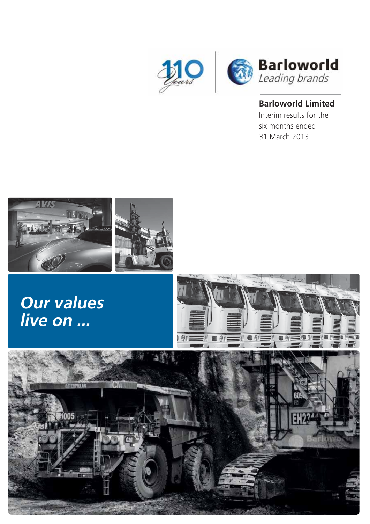

### **Barloworld Limited**

Interim results for the six months ended 31 March 2013



# **Our values live on ...**



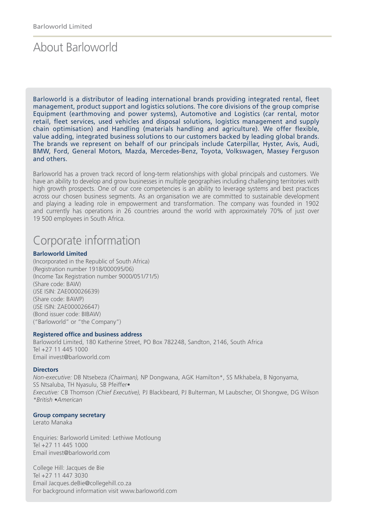### About Barloworld

Barloworld is a distributor of leading international brands providing integrated rental, fleet management, product support and logistics solutions. The core divisions of the group comprise Equipment (earthmoving and power systems), Automotive and Logistics (car rental, motor retail, fleet services, used vehicles and disposal solutions, logistics management and supply chain optimisation) and Handling (materials handling and agriculture). We offer flexible, value adding, integrated business solutions to our customers backed by leading global brands. The brands we represent on behalf of our principals include Caterpillar, Hyster, Avis, Audi, BMW, Ford, General Motors, Mazda, Mercedes-Benz, Toyota, Volkswagen, Massey Ferguson and others.

Barloworld has a proven track record of long-term relationships with global principals and customers. We have an ability to develop and grow businesses in multiple geographies including challenging territories with high growth prospects. One of our core competencies is an ability to leverage systems and best practices across our chosen business segments. As an organisation we are committed to sustainable development and playing a leading role in empowerment and transformation. The company was founded in 1902 and currently has operations in 26 countries around the world with approximately 70% of just over 19 500 employees in South Africa.

### Corporate information

#### **Barloworld Limited**

(Incorporated in the Republic of South Africa) (Registration number 1918/000095/06) (Income Tax Registration number 9000/051/71/5) (Share code: BAW) (JSE ISIN: ZAE000026639) (Share code: BAWP) (JSE ISIN: ZAE000026647) (Bond issuer code: BIBAW) ("Barloworld" or "the Company")

#### **Registered office and business address**

Barloworld Limited, 180 Katherine Street, PO Box 782248, Sandton, 2146, South Africa Tel +27 11 445 1000 Email invest@barloworld.com

#### **Directors**

*Non-executive:* DB Ntsebeza *(Chairman),* NP Dongwana, AGK Hamilton\*, SS Mkhabela, B Ngonyama, SS Ntsaluba, TH Nyasulu, SB Pfeiffer• *Executive:* CB Thomson *(Chief Executive),* PJ Blackbeard, PJ Bulterman, M Laubscher, OI Shongwe, DG Wilson *\*British •American*

#### **Group company secretary**

Lerato Manaka

Enquiries: Barloworld Limited: Lethiwe Motloung Tel +27 11 445 1000 Email invest@barloworld.com

College Hill: Jacques de Bie Tel +27 11 447 3030 Email Jacques.deBie@collegehill.co.za For background information visit www.barloworld.com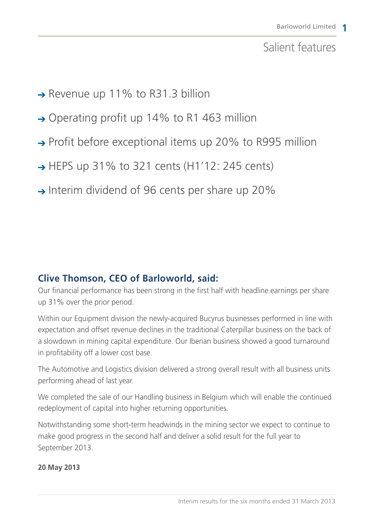### Salient features

- → Revenue up 11% to R31.3 billion
- $\rightarrow$  Operating profit up 14% to R1 463 million
- $\rightarrow$  Profit before exceptional items up 20% to R995 million
- $\rightarrow$  HEPS up 31% to 321 cents (H1'12: 245 cents)
- $\rightarrow$  Interim dividend of 96 cents per share up 20%

### **Clive Thomson, CEO of Barloworld, said:**

Our financial performance has been strong in the first half with headline earnings per share up 31% over the prior period.

Within our Equipment division the newly-acquired Bucyrus businesses performed in line with expectation and offset revenue declines in the traditional Caterpillar business on the back of a slowdown in mining capital expenditure. Our Iberian business showed a good turnaround in profitability off a lower cost base.

The Automotive and Logistics division delivered a strong overall result with all business units performing ahead of last year.

We completed the sale of our Handling business in Belgium which will enable the continued redeployment of capital into higher returning opportunities.

Notwithstanding some short-term headwinds in the mining sector we expect to continue to make good progress in the second half and deliver a solid result for the full year to September 2013.

**20 May 2013**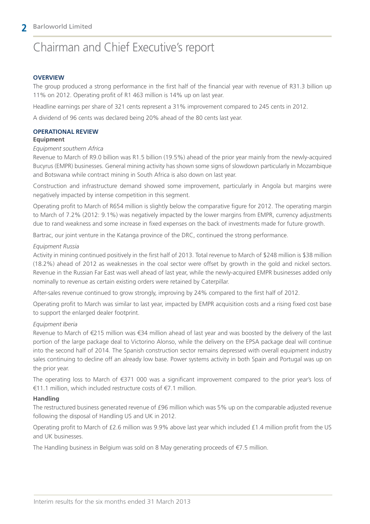# Chairman and Chief Executive's report

#### **OVERVIEW**

The group produced a strong performance in the first half of the financial year with revenue of R31.3 billion up 11% on 2012. Operating profit of R1 463 million is 14% up on last year.

Headline earnings per share of 321 cents represent a 31% improvement compared to 245 cents in 2012.

A dividend of 96 cents was declared being 20% ahead of the 80 cents last year.

#### **OPERATIONAL REVIEW**

#### **Equipment**

#### *Equipment southern Africa*

Revenue to March of R9.0 billion was R1.5 billion (19.5%) ahead of the prior year mainly from the newly-acquired Bucyrus (EMPR) businesses. General mining activity has shown some signs of slowdown particularly in Mozambique and Botswana while contract mining in South Africa is also down on last year.

Construction and infrastructure demand showed some improvement, particularly in Angola but margins were negatively impacted by intense competition in this segment.

Operating profit to March of R654 million is slightly below the comparative figure for 2012. The operating margin to March of 7.2% (2012: 9.1%) was negatively impacted by the lower margins from EMPR, currency adjustments due to rand weakness and some increase in fixed expenses on the back of investments made for future growth.

Bartrac, our joint venture in the Katanga province of the DRC, continued the strong performance.

#### *Equipment Russia*

Activity in mining continued positively in the first half of 2013. Total revenue to March of \$248 million is \$38 million (18.2%) ahead of 2012 as weaknesses in the coal sector were offset by growth in the gold and nickel sectors. Revenue in the Russian Far East was well ahead of last year, while the newly-acquired EMPR businesses added only nominally to revenue as certain existing orders were retained by Caterpillar.

After-sales revenue continued to grow strongly, improving by 24% compared to the first half of 2012.

Operating profit to March was similar to last year, impacted by EMPR acquisition costs and a rising fixed cost base to support the enlarged dealer footprint.

#### *Equipment Iberia*

Revenue to March of €215 million was €34 million ahead of last year and was boosted by the delivery of the last portion of the large package deal to Victorino Alonso, while the delivery on the EPSA package deal will continue into the second half of 2014. The Spanish construction sector remains depressed with overall equipment industry sales continuing to decline off an already low base. Power systems activity in both Spain and Portugal was up on the prior year.

The operating loss to March of €371 000 was a significant improvement compared to the prior year's loss of €11.1 million, which included restructure costs of €7.1 million.

#### **Handling**

The restructured business generated revenue of £96 million which was 5% up on the comparable adjusted revenue following the disposal of Handling US and UK in 2012.

Operating profit to March of £2.6 million was 9.9% above last year which included £1.4 million profit from the US and UK businesses.

The Handling business in Belgium was sold on 8 May generating proceeds of €7.5 million.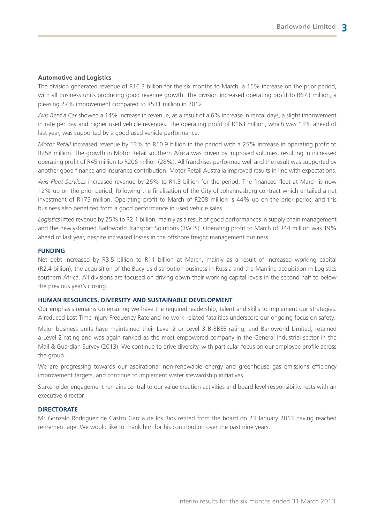#### **Automotive and Logistics**

The division generated revenue of R16.3 billion for the six months to March, a 15% increase on the prior period, with all business units producing good revenue growth. The division increased operating profit to R673 million, a pleasing 27% improvement compared to R531 million in 2012.

*Avis Rent a Car* showed a 14% increase in revenue, as a result of a 6% increase in rental days, a slight improvement in rate per day and higher used vehicle revenues. The operating profit of R163 million, which was 13% ahead of last year, was supported by a good used vehicle performance.

*Motor Retail* increased revenue by 13% to R10.9 billion in the period with a 25% increase in operating profit to R258 million. The growth in Motor Retail southern Africa was driven by improved volumes, resulting in increased operating profit of R45 million to R206 million (28%). All franchises performed well and the result was supported by another good finance and insurance contribution. Motor Retail Australia improved results in line with expectations.

*Avis Fleet Services* increased revenue by 26% to R1.3 billion for the period. The financed fleet at March is now 12% up on the prior period, following the finalisation of the City of Johannesburg contract which entailed a net investment of R175 million. Operating profit to March of R208 million is 44% up on the prior period and this business also benefited from a good performance in used vehicle sales.

*Logistics* lifted revenue by 25% to R2.1 billion, mainly as a result of good performances in supply chain management and the newly-formed Barloworld Transport Solutions (BWTS). Operating profit to March of R44 million was 19% ahead of last year, despite increased losses in the offshore freight management business.

#### **FUNDING**

Net debt increased by R3.5 billion to R11 billion at March, mainly as a result of increased working capital (R2.4 billion), the acquisition of the Bucyrus distribution business in Russia and the Manline acquisition in Logistics southern Africa. All divisions are focused on driving down their working capital levels in the second half to below the previous year's closing.

#### **HUMAN RESOURCES, DIVERSITY AND SUSTAINABLE DEVELOPMENT**

Our emphasis remains on ensuring we have the required leadership, talent and skills to implement our strategies. A reduced Lost Time Injury Frequency Rate and no work-related fatalities underscore our ongoing focus on safety.

Major business units have maintained their Level 2 or Level 3 B-BBEE rating; and Barloworld Limited, retained a Level 2 rating and was again ranked as the most empowered company in the General Industrial sector in the Mail & Guardian Survey (2013). We continue to drive diversity, with particular focus on our employee profile across the group.

We are progressing towards our aspirational non-renewable energy and greenhouse gas emissions efficiency improvement targets, and continue to implement water stewardship initiatives.

Stakeholder engagement remains central to our value creation activities and board level responsibility rests with an executive director.

#### **DIRECTORATE**

Mr Gonzalo Rodriguez de Castro Garcia de los Rios retired from the board on 23 January 2013 having reached retirement age. We would like to thank him for his contribution over the past nine years.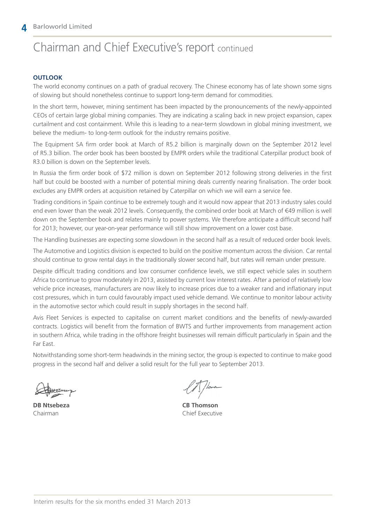### Chairman and Chief Executive's report continued

#### **OUTLOOK**

The world economy continues on a path of gradual recovery. The Chinese economy has of late shown some signs of slowing but should nonetheless continue to support long-term demand for commodities.

In the short term, however, mining sentiment has been impacted by the pronouncements of the newly-appointed CEOs of certain large global mining companies. They are indicating a scaling back in new project expansion, capex curtailment and cost containment. While this is leading to a near-term slowdown in global mining investment, we believe the medium- to long-term outlook for the industry remains positive.

The Equipment SA firm order book at March of R5.2 billion is marginally down on the September 2012 level of R5.3 billion. The order book has been boosted by EMPR orders while the traditional Caterpillar product book of R3.0 billion is down on the September levels.

In Russia the firm order book of \$72 million is down on September 2012 following strong deliveries in the first half but could be boosted with a number of potential mining deals currently nearing finalisation. The order book excludes any EMPR orders at acquisition retained by Caterpillar on which we will earn a service fee.

Trading conditions in Spain continue to be extremely tough and it would now appear that 2013 industry sales could end even lower than the weak 2012 levels. Consequently, the combined order book at March of €49 million is well down on the September book and relates mainly to power systems. We therefore anticipate a difficult second half for 2013; however, our year-on-year performance will still show improvement on a lower cost base.

The Handling businesses are expecting some slowdown in the second half as a result of reduced order book levels.

The Automotive and Logistics division is expected to build on the positive momentum across the division. Car rental should continue to grow rental days in the traditionally slower second half, but rates will remain under pressure.

Despite difficult trading conditions and low consumer confidence levels, we still expect vehicle sales in southern Africa to continue to grow moderately in 2013, assisted by current low interest rates. After a period of relatively low vehicle price increases, manufacturers are now likely to increase prices due to a weaker rand and inflationary input cost pressures, which in turn could favourably impact used vehicle demand. We continue to monitor labour activity in the automotive sector which could result in supply shortages in the second half.

Avis Fleet Services is expected to capitalise on current market conditions and the benefits of newly-awarded contracts. Logistics will benefit from the formation of BWTS and further improvements from management action in southern Africa, while trading in the offshore freight businesses will remain difficult particularly in Spain and the Far East.

Notwithstanding some short-term headwinds in the mining sector, the group is expected to continue to make good progress in the second half and deliver a solid result for the full year to September 2013.

**DB Ntsebeza CB Thomson** Chairman Chief Executive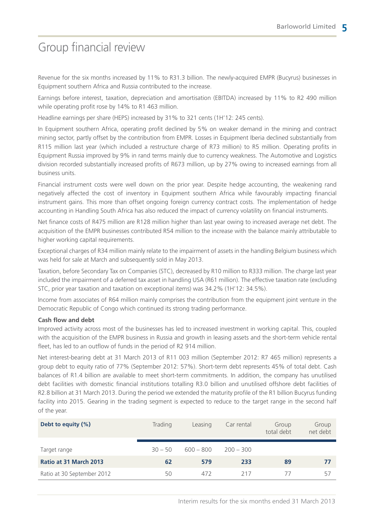### Group financial review

Revenue for the six months increased by 11% to R31.3 billion. The newly-acquired EMPR (Bucyrus) businesses in Equipment southern Africa and Russia contributed to the increase.

Earnings before interest, taxation, depreciation and amortisation (EBITDA) increased by 11% to R2 490 million while operating profit rose by 14% to R1 463 million.

Headline earnings per share (HEPS) increased by 31% to 321 cents (1H'12: 245 cents).

In Equipment southern Africa, operating profit declined by 5% on weaker demand in the mining and contract mining sector, partly offset by the contribution from EMPR. Losses in Equipment Iberia declined substantially from R115 million last year (which included a restructure charge of R73 million) to R5 million. Operating profits in Equipment Russia improved by 9% in rand terms mainly due to currency weakness. The Automotive and Logistics division recorded substantially increased profits of R673 million, up by 27% owing to increased earnings from all business units.

Financial instrument costs were well down on the prior year. Despite hedge accounting, the weakening rand negatively affected the cost of inventory in Equipment southern Africa while favourably impacting financial instrument gains. This more than offset ongoing foreign currency contract costs. The implementation of hedge accounting in Handling South Africa has also reduced the impact of currency volatility on financial instruments.

Net finance costs of R475 million are R128 million higher than last year owing to increased average net debt. The acquisition of the EMPR businesses contributed R54 million to the increase with the balance mainly attributable to higher working capital requirements.

Exceptional charges of R34 million mainly relate to the impairment of assets in the handling Belgium business which was held for sale at March and subsequently sold in May 2013.

Taxation, before Secondary Tax on Companies (STC), decreased by R10 million to R333 million. The charge last year included the impairment of a deferred tax asset in handling USA (R61 million). The effective taxation rate (excluding STC, prior year taxation and taxation on exceptional items) was 34.2% (1H'12: 34.5%).

Income from associates of R64 million mainly comprises the contribution from the equipment joint venture in the Democratic Republic of Congo which continued its strong trading performance.

#### **Cash flow and debt**

Improved activity across most of the businesses has led to increased investment in working capital. This, coupled with the acquisition of the EMPR business in Russia and growth in leasing assets and the short-term vehicle rental fleet, has led to an outflow of funds in the period of R2 914 million.

Net interest-bearing debt at 31 March 2013 of R11 003 million (September 2012: R7 465 million) represents a group debt to equity ratio of 77% (September 2012: 57%). Short-term debt represents 45% of total debt. Cash balances of R1.4 billion are available to meet short-term commitments. In addition, the company has unutilised debt facilities with domestic financial institutions totalling R3.0 billion and unutilised offshore debt facilities of R2.8 billion at 31 March 2013. During the period we extended the maturity profile of the R1 billion Bucyrus funding facility into 2015. Gearing in the trading segment is expected to reduce to the target range in the second half of the year.

| Debt to equity (%)         | Trading   | Leasing     | Car rental  | Group<br>total debt | Group<br>net debt |
|----------------------------|-----------|-------------|-------------|---------------------|-------------------|
|                            |           |             |             |                     |                   |
| Target range               | $30 - 50$ | $600 - 800$ | $200 - 300$ |                     |                   |
| Ratio at 31 March 2013     | 62        | 579         | 233         | 89                  | 77                |
| Ratio at 30 September 2012 | 50        | 472         | 217         | 77                  | 57                |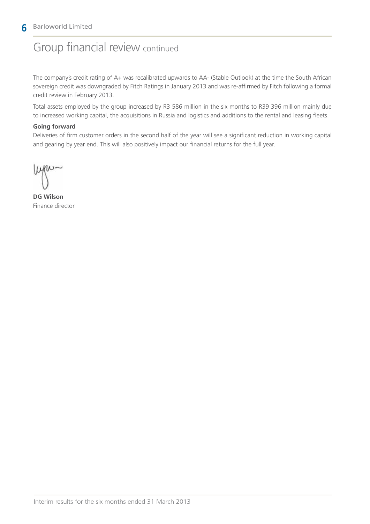#### **6** Barloworld Limited

### Group financial review continued

The company's credit rating of A+ was recalibrated upwards to AA- (Stable Outlook) at the time the South African sovereign credit was downgraded by Fitch Ratings in January 2013 and was re-affirmed by Fitch following a formal credit review in February 2013.

Total assets employed by the group increased by R3 586 million in the six months to R39 396 million mainly due to increased working capital, the acquisitions in Russia and logistics and additions to the rental and leasing fleets.

#### **Going forward**

Deliveries of firm customer orders in the second half of the year will see a significant reduction in working capital and gearing by year end. This will also positively impact our financial returns for the full year.

**DG Wilson** Finance director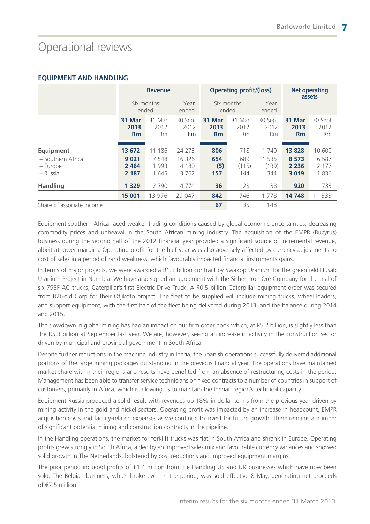# Operational reviews

#### **EQUIPMENT AND HANDLING**

|                                           | <b>Revenue</b>             |                               |                              | <b>Operating profit/(loss)</b> |                                      |                              | <b>Net operating</b><br>assets |                              |
|-------------------------------------------|----------------------------|-------------------------------|------------------------------|--------------------------------|--------------------------------------|------------------------------|--------------------------------|------------------------------|
|                                           |                            | Six months<br>ended           | Year<br>ended                |                                | Six months<br>Year<br>ended<br>ended |                              |                                |                              |
|                                           | 31 Mar<br>2013<br>Rm       | 31 Mar<br>2012<br><b>Rm</b>   | 30 Sept<br>2012<br><b>Rm</b> | 31 Mar<br>2013<br>Rm           | 31 Mar<br>2012<br><b>Rm</b>          | 30 Sept<br>2012<br><b>Rm</b> | 31 Mar<br>2013<br>Rm           | 30 Sept<br>2012<br><b>Rm</b> |
| <b>Equipment</b>                          | 13 672                     | 186<br>11                     | 24 273                       | 806                            | 718                                  | 1740                         | 13 828                         | 10 600                       |
| - Southern Africa<br>– Europe<br>– Russia | 9 0 21<br>2 4 6 4<br>2 187 | 7 5 4 8<br>1 9 9 3<br>1 6 4 5 | 16 326<br>4 1 8 0<br>3767    | 654<br>(5)<br>157              | 689<br>(115)<br>144                  | 1 5 3 5<br>(139)<br>344      | 8 5 7 3<br>2 2 3 6<br>3019     | 6587<br>2 1 7 7<br>1836      |
| <b>Handling</b>                           | 1 3 2 9                    | 2 7 9 0                       | 4774                         | 36                             | 28                                   | 38                           | 920                            | 733                          |
|                                           | 15 001                     | 13 976                        | 29 047                       | 842                            | 746                                  | 1778                         | 14 748                         | 11 333                       |
| Share of associate income                 |                            |                               |                              | 67                             | 35                                   | 148                          |                                |                              |

Equipment southern Africa faced weaker trading conditions caused by global economic uncertainties, decreasing commodity prices and upheaval in the South African mining industry. The acquisition of the EMPR (Bucyrus) business during the second half of the 2012 financial year provided a significant source of incremental revenue, albeit at lower margins. Operating profit for the half-year was also adversely affected by currency adjustments to cost of sales in a period of rand weakness, which favourably impacted financial instruments gains.

In terms of major projects, we were awarded a R1.3 billion contract by Swakop Uranium for the greenfield Husab Uranium Project in Namibia. We have also signed an agreement with the Sishen Iron Ore Company for the trial of six 795F AC trucks, Caterpillar's first Electric Drive Truck. A R0.5 billion Caterpillar equipment order was secured from B2Gold Corp for their Otjikoto project. The fleet to be supplied will include mining trucks, wheel loaders, and support equipment, with the first half of the fleet being delivered during 2013, and the balance during 2014 and 2015.

The slowdown in global mining has had an impact on our firm order book which, at R5.2 billion, is slightly less than the R5.3 billion at September last year. We are, however, seeing an increase in activity in the construction sector driven by municipal and provincial government in South Africa.

Despite further reductions in the machine industry in Iberia, the Spanish operations successfully delivered additional portions of the large mining packages outstanding in the previous financial year. The operations have maintained market share within their regions and results have benefited from an absence of restructuring costs in the period. Management has been able to transfer service technicians on fixed contracts to a number of countries in support of customers, primarily in Africa, which is allowing us to maintain the Iberian region's technical capacity.

Equipment Russia produced a solid result with revenues up 18% in dollar terms from the previous year driven by mining activity in the gold and nickel sectors. Operating profit was impacted by an increase in headcount, EMPR acquisition costs and facility-related expenses as we continue to invest for future growth. There remains a number of significant potential mining and construction contracts in the pipeline.

In the Handling operations, the market for forklift trucks was flat in South Africa and shrank in Europe. Operating profits grew strongly in South Africa, aided by an improved sales mix and favourable currency variances and showed solid growth in The Netherlands, bolstered by cost reductions and improved equipment margins.

The prior period included profits of £1.4 million from the Handling US and UK businesses which have now been sold. The Belgian business, which broke even in the period, was sold effective 8 May, generating net proceeds of €7.5 million.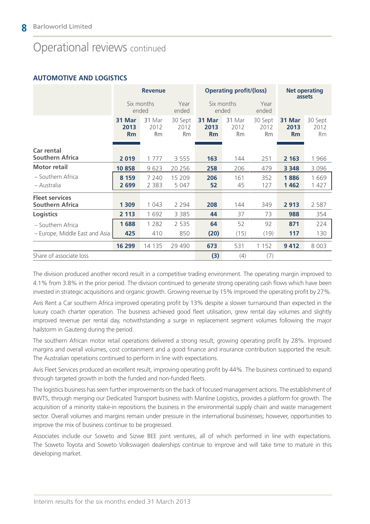### Operational reviews continued

#### **AUTOMOTIVE AND LOGISTICS**

|                                                 | <b>Revenue</b>       |                             |                              |                      | <b>Operating profit/(loss)</b> |                              |                      | <b>Net operating</b><br>assets |
|-------------------------------------------------|----------------------|-----------------------------|------------------------------|----------------------|--------------------------------|------------------------------|----------------------|--------------------------------|
|                                                 |                      | Six months<br>ended         | Year<br>ended                |                      | Six months<br>ended            | Year<br>ended                |                      |                                |
|                                                 | 31 Mar<br>2013<br>Rm | 31 Mar<br>2012<br><b>Rm</b> | 30 Sept<br>2012<br><b>Rm</b> | 31 Mar<br>2013<br>Rm | 31 Mar<br>2012<br><b>Rm</b>    | 30 Sept<br>2012<br><b>Rm</b> | 31 Mar<br>2013<br>Rm | 30 Sept<br>2012<br><b>Rm</b>   |
| Car rental<br><b>Southern Africa</b>            | 2019                 | 1 7 7 7                     | 3 5 5 5                      | 163                  | 144                            | 251                          | 2 1 6 3              | 1966                           |
| <b>Motor retail</b>                             | 10858                | 9623                        | 20 25 6                      | 258                  | 206                            | 479                          | 3 3 4 8              | 3 0 9 6                        |
| - Southern Africa<br>- Australia                | 8 1 5 9<br>2 6 9 9   | 7 2 4 0<br>2 3 8 3          | 15 209<br>5 0 4 7            | 206<br>52            | 161<br>45                      | 352<br>127                   | 1886<br>1462         | 1 669<br>1 427                 |
| <b>Fleet services</b><br><b>Southern Africa</b> | 1 3 0 9              | 1 0 4 3                     | 2 2 9 4                      | 208                  | 144                            | 349                          | 2913                 | 2 5 8 7                        |
| <b>Logistics</b>                                | 2 1 1 3              | 1 6 9 2                     | 3 3 8 5                      | 44                   | 37                             | 73                           | 988                  | 354                            |
| - Southern Africa                               | 1688                 | 1 2 8 2                     | 2 5 3 5                      | 64                   | 52                             | 92                           | 871                  | 224                            |
| - Europe, Middle East and Asia                  | 425                  | 410                         | 850                          | (20)                 | (15)                           | (19)                         | 117                  | 130                            |
|                                                 | 16 299               | 14 135                      | 29 4 9 0                     | 673                  | 531                            | 1 1 5 2                      | 9412                 | 8 0 0 3                        |
| Share of associate loss                         |                      |                             |                              | (3)                  | (4)                            | (7)                          |                      |                                |

The division produced another record result in a competitive trading environment. The operating margin improved to 4.1% from 3.8% in the prior period. The division continued to generate strong operating cash flows which have been invested in strategic acquisitions and organic growth. Growing revenue by 15% improved the operating profit by 27%.

Avis Rent a Car southern Africa improved operating profit by 13% despite a slower turnaround than expected in the luxury coach charter operation. The business achieved good fleet utilisation, grew rental day volumes and slightly improved revenue per rental day, notwithstanding a surge in replacement segment volumes following the major hailstorm in Gauteng during the period.

The southern African motor retail operations delivered a strong result, growing operating profit by 28%. Improved margins and overall volumes, cost containment and a good finance and insurance contribution supported the result. The Australian operations continued to perform in line with expectations.

Avis Fleet Services produced an excellent result, improving operating profit by 44%. The business continued to expand through targeted growth in both the funded and non-funded fleets.

The logistics business has seen further improvements on the back of focused management actions. The establishment of BWTS, through merging our Dedicated Transport business with Manline Logistics, provides a platform for growth. The acquisition of a minority stake-in repositions the business in the environmental supply chain and waste management sector. Overall volumes and margins remain under pressure in the international businesses; however, opportunities to improve the mix of business continue to be progressed.

Associates include our Soweto and Sizwe BEE joint ventures, all of which performed in line with expectations. The Soweto Toyota and Soweto Volkswagen dealerships continue to improve and will take time to mature in this developing market.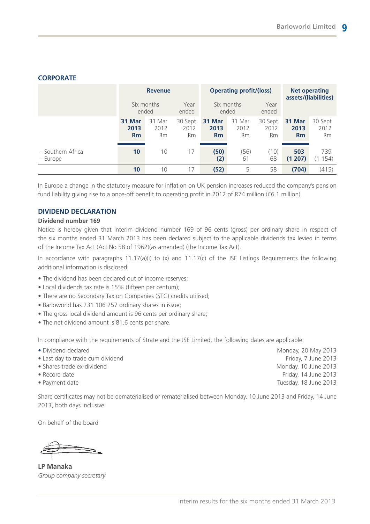|                               | <b>Revenue</b><br>Six months<br>ended |                      | Year<br>ended         | <b>Operating profit/(loss)</b><br>Year<br>Six months<br>ended<br>ended |                             | <b>Net operating</b><br>assets/(liabilities) |                      |                       |
|-------------------------------|---------------------------------------|----------------------|-----------------------|------------------------------------------------------------------------|-----------------------------|----------------------------------------------|----------------------|-----------------------|
|                               | 31 Mar<br>2013<br><b>Rm</b>           | 31 Mar<br>2012<br>Rm | 30 Sept<br>2012<br>Rm | 31 Mar<br>2013<br>Rm                                                   | 31 Mar<br>2012<br><b>Rm</b> | 30 Sept<br>2012<br><b>Rm</b>                 | 31 Mar<br>2013<br>Rm | 30 Sept<br>2012<br>Rm |
| - Southern Africa<br>– Europe | 10                                    | 10                   | 17                    | (50)<br>(2)                                                            | (56)<br>61                  | (10)<br>68                                   | 503<br>(1 207)       | 739<br>154)           |
|                               | 10                                    | 10                   | 17                    | (52)                                                                   | 5                           | 58                                           | (704)                | (415)                 |

#### **CORPORATE**

In Europe a change in the statutory measure for inflation on UK pension increases reduced the company's pension fund liability giving rise to a once-off benefit to operating profit in 2012 of R74 million (£6.1 million).

#### **DIVIDEND DECLARATION**

#### **Dividend number 169**

Notice is hereby given that interim dividend number 169 of 96 cents (gross) per ordinary share in respect of the six months ended 31 March 2013 has been declared subject to the applicable dividends tax levied in terms of the Income Tax Act (Act No 58 of 1962)(as amended) (the Income Tax Act).

In accordance with paragraphs  $11.17(a)(i)$  to  $(x)$  and  $11.17(c)$  of the JSE Listings Requirements the following additional information is disclosed:

- The dividend has been declared out of income reserves;
- Local dividends tax rate is 15% (fifteen per centum);
- There are no Secondary Tax on Companies (STC) credits utilised;
- Barloworld has 231 106 257 ordinary shares in issue;
- The gross local dividend amount is 96 cents per ordinary share;
- The net dividend amount is 81.6 cents per share.

In compliance with the requirements of Strate and the JSE Limited, the following dates are applicable:

- 
- Last day to trade cum dividend Friday, 7 June 2013
- 
- 
- 

Share certificates may not be dematerialised or rematerialised between Monday, 10 June 2013 and Friday, 14 June 2013, both days inclusive.

On behalf of the board

**LP Manaka** *Group company secretary*

• Dividend declared Monday, 20 May 2013 • Shares trade ex-dividend Monday, 10 June 2013 • Record date **Friday, 14 June 2013** • Payment date Tuesday, 18 June 2013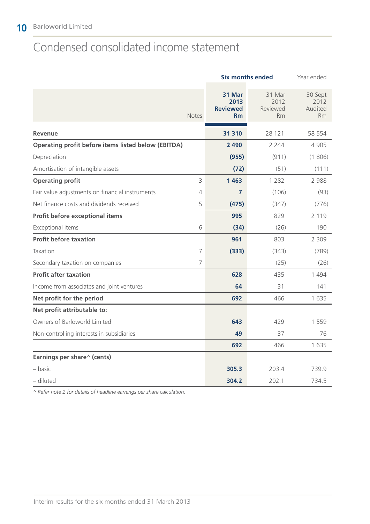# Condensed consolidated income statement

|                                                            |              | <b>Six months ended</b>                 | Year ended                              |                                         |
|------------------------------------------------------------|--------------|-----------------------------------------|-----------------------------------------|-----------------------------------------|
|                                                            | <b>Notes</b> | 31 Mar<br>2013<br><b>Reviewed</b><br>Rm | 31 Mar<br>2012<br>Reviewed<br><b>Rm</b> | 30 Sept<br>2012<br>Audited<br><b>Rm</b> |
| <b>Revenue</b>                                             |              | 31 310                                  | 28 121                                  | 58 554                                  |
| <b>Operating profit before items listed below (EBITDA)</b> |              | 2 4 9 0                                 | 2 2 4 4                                 | 4 9 0 5                                 |
| Depreciation                                               |              | (955)                                   | (911)                                   | (1806)                                  |
| Amortisation of intangible assets                          |              | (72)                                    | (51)                                    | (111)                                   |
| <b>Operating profit</b>                                    | 3            | 1 4 6 3                                 | 1 2 8 2                                 | 2 9 8 8                                 |
| Fair value adjustments on financial instruments            | 4            | 7                                       | (106)                                   | (93)                                    |
| Net finance costs and dividends received                   | 5            | (475)                                   | (347)                                   | (776)                                   |
| Profit before exceptional items                            |              | 995                                     | 829                                     | 2 1 1 9                                 |
| Exceptional items                                          | 6            | (34)                                    | (26)                                    | 190                                     |
| <b>Profit before taxation</b>                              |              | 961                                     | 803                                     | 2 3 0 9                                 |
| Taxation                                                   | 7            | (333)                                   | (343)                                   | (789)                                   |
| Secondary taxation on companies                            | 7            |                                         | (25)                                    | (26)                                    |
| <b>Profit after taxation</b>                               |              | 628                                     | 435                                     | 1494                                    |
| Income from associates and joint ventures                  |              | 64                                      | 31                                      | 141                                     |
| Net profit for the period                                  |              | 692                                     | 466                                     | 1 6 3 5                                 |
| Net profit attributable to:                                |              |                                         |                                         |                                         |
| Owners of Barloworld Limited                               |              | 643                                     | 429                                     | 1 5 5 9                                 |
| Non-controlling interests in subsidiaries                  |              | 49                                      | 37                                      | 76                                      |
|                                                            |              | 692                                     | 466                                     | 1 6 3 5                                 |
| Earnings per share^ (cents)                                |              |                                         |                                         |                                         |
| – basic                                                    |              | 305.3                                   | 203.4                                   | 739.9                                   |
| - diluted                                                  |              | 304.2                                   | 202.1                                   | 734.5                                   |

*^ Refer note 2 for details of headline earnings per share calculation.*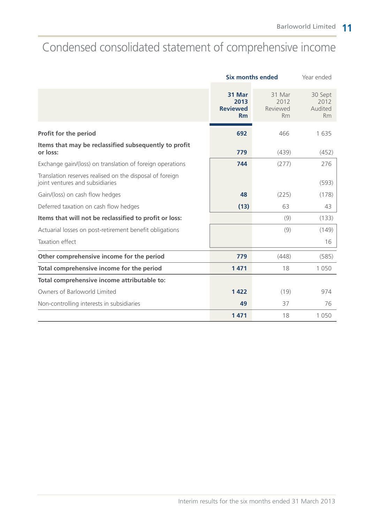# Condensed consolidated statement of comprehensive income

|                                                                                             | <b>Six months ended</b>                        |                                         | Year ended                              |
|---------------------------------------------------------------------------------------------|------------------------------------------------|-----------------------------------------|-----------------------------------------|
|                                                                                             | 31 Mar<br>2013<br><b>Reviewed</b><br><b>Rm</b> | 31 Mar<br>2012<br>Reviewed<br><b>Rm</b> | 30 Sept<br>2012<br>Audited<br><b>Rm</b> |
| Profit for the period                                                                       | 692                                            | 466                                     | 1635                                    |
| Items that may be reclassified subsequently to profit<br>or loss:                           | 779                                            | (439)                                   | (452)                                   |
| Exchange gain/(loss) on translation of foreign operations                                   | 744                                            | (277)                                   | 276                                     |
| Translation reserves realised on the disposal of foreign<br>joint ventures and subsidiaries |                                                |                                         | (593)                                   |
| Gain/(loss) on cash flow hedges                                                             | 48                                             | (225)                                   | (178)                                   |
| Deferred taxation on cash flow hedges                                                       | (13)                                           | 63                                      | 43                                      |
| Items that will not be reclassified to profit or loss:                                      |                                                | (9)                                     | (133)                                   |
| Actuarial losses on post-retirement benefit obligations                                     |                                                | (9)                                     | (149)                                   |
| Taxation effect                                                                             |                                                |                                         | 16                                      |
| Other comprehensive income for the period                                                   | 779                                            | (448)                                   | (585)                                   |
| Total comprehensive income for the period                                                   | 1471                                           | 18                                      | 1 0 5 0                                 |
| Total comprehensive income attributable to:                                                 |                                                |                                         |                                         |
| Owners of Barloworld Limited                                                                | 1422                                           | (19)                                    | 974                                     |
| Non-controlling interests in subsidiaries                                                   | 49                                             | 37                                      | 76                                      |
|                                                                                             | 1 4 7 1                                        | 18                                      | 1 0 5 0                                 |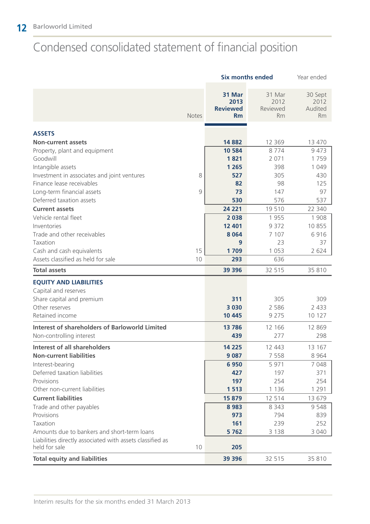# Condensed consolidated statement of financial position

|                                                                            |              | <b>Six months ended</b>                 | Year ended                              |                                         |
|----------------------------------------------------------------------------|--------------|-----------------------------------------|-----------------------------------------|-----------------------------------------|
|                                                                            | <b>Notes</b> | 31 Mar<br>2013<br><b>Reviewed</b><br>Rm | 31 Mar<br>2012<br>Reviewed<br><b>Rm</b> | 30 Sept<br>2012<br>Audited<br><b>Rm</b> |
|                                                                            |              |                                         |                                         |                                         |
| <b>ASSETS</b>                                                              |              |                                         |                                         |                                         |
| <b>Non-current assets</b>                                                  |              | 14 882<br>10 584                        | 12 3 6 9<br>8774                        | 13 470<br>9 4 7 3                       |
| Property, plant and equipment<br>Goodwill                                  |              | 1821                                    | 2 0 7 1                                 | 1759                                    |
| Intangible assets                                                          |              | 1 2 6 5                                 | 398                                     | 1 0 4 9                                 |
| Investment in associates and joint ventures                                | 8            | 527                                     | 305                                     | 430                                     |
| Finance lease receivables                                                  |              | 82                                      | 98                                      | 125                                     |
| Long-term financial assets                                                 | 9            | 73                                      | 147                                     | 97                                      |
| Deferred taxation assets                                                   |              | 530                                     | 576                                     | 537                                     |
| <b>Current assets</b>                                                      |              | 24 221                                  | 19510                                   | 22 340                                  |
| Vehicle rental fleet                                                       |              | 2 0 3 8                                 | 1955                                    | 1 908                                   |
| Inventories                                                                |              | 12 401                                  | 9 3 7 2                                 | 10855                                   |
| Trade and other receivables                                                |              | 8 0 6 4                                 | 7 107                                   | 6916                                    |
| Taxation                                                                   |              | 9                                       | 23                                      | 37                                      |
| Cash and cash equivalents                                                  | 15           | 1709                                    | 1 0 5 3                                 | 2 6 2 4                                 |
| Assets classified as held for sale                                         | 10           | 293                                     | 636                                     |                                         |
| <b>Total assets</b>                                                        |              | 39 396                                  | 32 515                                  | 35 810                                  |
| <b>EQUITY AND LIABILITIES</b>                                              |              |                                         |                                         |                                         |
| Capital and reserves                                                       |              |                                         |                                         |                                         |
| Share capital and premium                                                  |              | 311                                     | 305                                     | 309                                     |
| Other reserves                                                             |              | 3 0 3 0                                 | 2 5 8 6                                 | 2 4 3 3                                 |
| Retained income                                                            |              | 10 4 45                                 | 9 2 7 5                                 | 10 127                                  |
| <b>Interest of shareholders of Barloworld Limited</b>                      |              | 13786                                   | 12 166                                  | 12 869                                  |
| Non-controlling interest                                                   |              | 439                                     | 277                                     | 298                                     |
| <b>Interest of all shareholders</b>                                        |              | 14 2 25                                 | 12 443                                  | 13 167                                  |
| <b>Non-current liabilities</b>                                             |              | 9 0 8 7                                 | 7 5 5 8                                 | 8 9 6 4                                 |
| Interest-bearing                                                           |              | 6950                                    | 5 9 7 1                                 | 7 0 4 8                                 |
| Deferred taxation liabilities                                              |              | 427                                     | 197                                     | 371                                     |
| Provisions                                                                 |              | 197                                     | 254                                     | 254                                     |
| Other non-current liabilities                                              |              | 1513                                    | 1 1 3 6                                 | 1 2 9 1                                 |
| <b>Current liabilities</b>                                                 |              | 15 879                                  | 12 5 14                                 | 13 679                                  |
| Trade and other payables                                                   |              | 8 9 8 3                                 | 8 3 4 3                                 | 9 5 4 8                                 |
| Provisions                                                                 |              | 973                                     | 794                                     | 839                                     |
| Taxation                                                                   |              | 161                                     | 239                                     | 252                                     |
| Amounts due to bankers and short-term loans                                |              | 5762                                    | 3 1 3 8                                 | 3 0 4 0                                 |
| Liabilities directly associated with assets classified as<br>held for sale | 10           | 205                                     |                                         |                                         |
| <b>Total equity and liabilities</b>                                        |              | 39 396                                  | 32 515                                  | 35 810                                  |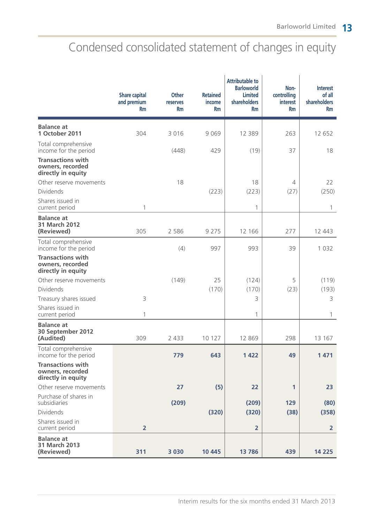# Condensed consolidated statement of changes in equity

|                                                                    | <b>Share capital</b><br>and premium<br><b>Rm</b> | <b>Other</b><br><b>reserves</b><br><b>Rm</b> | <b>Retained</b><br>income<br>Rm | <b>Attributable to</b><br><b>Barloworld</b><br><b>Limited</b><br>shareholders<br><b>Rm</b> | Non-<br>controlling<br><b>interest</b><br><b>Rm</b> | <b>Interest</b><br>of all<br>shareholders<br><b>Rm</b> |
|--------------------------------------------------------------------|--------------------------------------------------|----------------------------------------------|---------------------------------|--------------------------------------------------------------------------------------------|-----------------------------------------------------|--------------------------------------------------------|
| <b>Balance at</b><br>1 October 2011                                | 304                                              | 3 0 1 6                                      | 9 0 6 9                         | 12 3 8 9                                                                                   | 263                                                 | 12 652                                                 |
| Total comprehensive<br>income for the period                       |                                                  | (448)                                        | 429                             | (19)                                                                                       | 37                                                  | 18                                                     |
| <b>Transactions with</b><br>owners, recorded<br>directly in equity |                                                  |                                              |                                 |                                                                                            |                                                     |                                                        |
| Other reserve movements                                            |                                                  | 18                                           |                                 | 18                                                                                         | $\overline{4}$                                      | 22                                                     |
| Dividends                                                          |                                                  |                                              | (223)                           | (223)                                                                                      | (27)                                                | (250)                                                  |
| Shares issued in<br>current period                                 | 1                                                |                                              |                                 | 1                                                                                          |                                                     | 1                                                      |
| <b>Balance at</b><br><b>31 March 2012</b><br>(Reviewed)            | 305                                              | 2 5 8 6                                      | 9 2 7 5                         | 12 166                                                                                     | 277                                                 | 12 443                                                 |
| Total comprehensive<br>income for the period                       |                                                  | (4)                                          | 997                             | 993                                                                                        | 39                                                  | 1 0 3 2                                                |
| <b>Transactions with</b><br>owners, recorded<br>directly in equity |                                                  |                                              |                                 |                                                                                            |                                                     |                                                        |
| Other reserve movements                                            |                                                  | (149)                                        | 25                              | (124)                                                                                      | 5                                                   | (119)                                                  |
| Dividends                                                          |                                                  |                                              | (170)                           | (170)                                                                                      | (23)                                                | (193)                                                  |
| Treasury shares issued                                             | 3                                                |                                              |                                 | 3                                                                                          |                                                     | 3                                                      |
| Shares issued in<br>current period                                 | 1                                                |                                              |                                 | 1                                                                                          |                                                     | 1                                                      |
| <b>Balance at</b><br>30 September 2012<br>(Audited)                | 309                                              | 2 4 3 3                                      | 10 127                          | 12 869                                                                                     | 298                                                 | 13 167                                                 |
| Total comprehensive<br>income for the period                       |                                                  | 779                                          | 643                             | 1 4 2 2                                                                                    | 49                                                  | 1 4 7 1                                                |
| <b>Transactions with</b><br>owners, recorded<br>directly in equity |                                                  |                                              |                                 |                                                                                            |                                                     |                                                        |
| Other reserve movements                                            |                                                  | 27                                           | (5)                             | 22                                                                                         | 1                                                   | 23                                                     |
| Purchase of shares in<br>subsidiaries                              |                                                  | (209)                                        |                                 | (209)                                                                                      | 129                                                 | (80)                                                   |
| Dividends                                                          |                                                  |                                              | (320)                           | (320)                                                                                      | (38)                                                | (358)                                                  |
| Shares issued in<br>current period                                 | $\overline{2}$                                   |                                              |                                 | $\overline{2}$                                                                             |                                                     | $\overline{2}$                                         |
| <b>Balance at</b><br>31 March 2013<br>(Reviewed)                   | 311                                              | 3 0 3 0                                      | 10 4 45                         | 13 786                                                                                     | 439                                                 | 14 2 25                                                |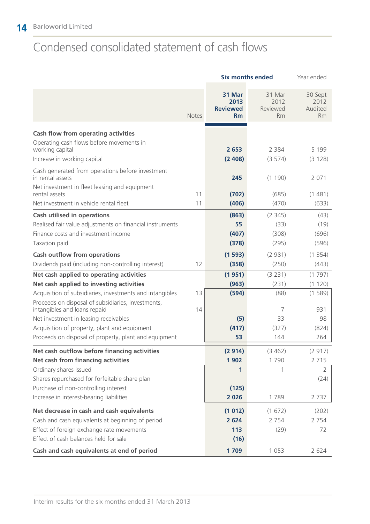# Condensed consolidated statement of cash flows

|                                                                                    |              | <b>Six months ended</b>                 | Year ended                              |                                         |
|------------------------------------------------------------------------------------|--------------|-----------------------------------------|-----------------------------------------|-----------------------------------------|
|                                                                                    | <b>Notes</b> | 31 Mar<br>2013<br><b>Reviewed</b><br>Rm | 31 Mar<br>2012<br>Reviewed<br><b>Rm</b> | 30 Sept<br>2012<br>Audited<br><b>Rm</b> |
| <b>Cash flow from operating activities</b>                                         |              |                                         |                                         |                                         |
| Operating cash flows before movements in<br>working capital                        |              | 2 6 5 3                                 | 2 3 8 4                                 | 5 1 9 9                                 |
| Increase in working capital                                                        |              | (2408)                                  | (3574)                                  | (3 128)                                 |
| Cash generated from operations before investment<br>in rental assets               |              | 245                                     | (1 190)                                 | 2 0 7 1                                 |
| Net investment in fleet leasing and equipment<br>rental assets                     | 11           | (702)                                   | (685)                                   | (1481)                                  |
| Net investment in vehicle rental fleet                                             | 11           | (406)                                   | (470)                                   | (633)                                   |
| <b>Cash utilised in operations</b>                                                 |              | (863)                                   | (2345)                                  | (43)                                    |
| Realised fair value adjustments on financial instruments                           |              | 55                                      | (33)                                    | (19)                                    |
| Finance costs and investment income                                                |              | (407)                                   | (308)                                   | (696)                                   |
| Taxation paid                                                                      |              | (378)                                   | (295)                                   | (596)                                   |
| <b>Cash outflow from operations</b>                                                |              | (1593)                                  | (2981)                                  | (1354)                                  |
| Dividends paid (including non-controlling interest)                                | 12           | (358)                                   | (250)                                   | (443)                                   |
| Net cash applied to operating activities                                           |              | (1951)                                  | (3 231)                                 | (1797)                                  |
| Net cash applied to investing activities                                           |              | (963)                                   | (231)                                   | (1 120)                                 |
| Acquisition of subsidiaries, investments and intangibles                           | 13           | (594)                                   | (88)                                    | (1589)                                  |
| Proceeds on disposal of subsidiaries, investments,<br>intangibles and loans repaid | 14           |                                         | 7                                       | 931                                     |
| Net investment in leasing receivables                                              |              | (5)                                     | 33                                      | 98                                      |
| Acquisition of property, plant and equipment                                       |              | (417)                                   | (327)                                   | (824)                                   |
| Proceeds on disposal of property, plant and equipment                              |              | 53                                      | 144                                     | 264                                     |
| Net cash outflow before financing activities                                       |              | (2914)                                  | (3462)                                  | (2917)                                  |
| Net cash from financing activities                                                 |              | 1902                                    | 1790                                    | 2 7 1 5                                 |
| Ordinary shares issued                                                             |              | 1                                       | 1                                       | 2                                       |
| Shares repurchased for forfeitable share plan                                      |              |                                         |                                         | (24)                                    |
| Purchase of non-controlling interest                                               |              | (125)                                   |                                         |                                         |
| Increase in interest-bearing liabilities                                           |              | 2026                                    | 1789                                    | 2 7 3 7                                 |
| Net decrease in cash and cash equivalents                                          |              | (1012)                                  | (1672)                                  | (202)                                   |
| Cash and cash equivalents at beginning of period                                   |              | 2 6 2 4                                 | 2 7 5 4                                 | 2 7 5 4                                 |
| Effect of foreign exchange rate movements                                          |              | 113                                     | (29)                                    | 72                                      |
| Effect of cash balances held for sale                                              |              | (16)                                    |                                         |                                         |
| Cash and cash equivalents at end of period                                         |              | 1709                                    | 1 0 5 3                                 | 2 6 2 4                                 |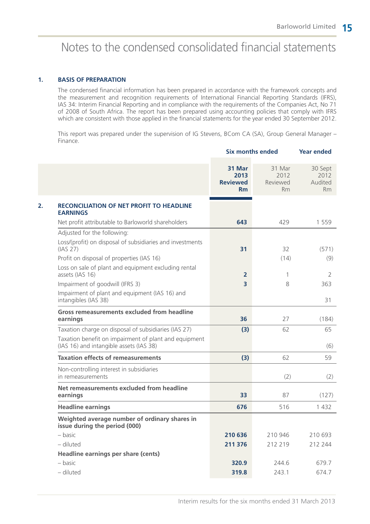# Notes to the condensed consolidated financial statements

#### **1. BASIS OF PREPARATION**

The condensed financial information has been prepared in accordance with the framework concepts and the measurement and recognition requirements of International Financial Reporting Standards (IFRS), IAS 34: Interim Financial Reporting and in compliance with the requirements of the Companies Act, No 71 of 2008 of South Africa. The report has been prepared using accounting policies that comply with IFRS which are consistent with those applied in the financial statements for the year ended 30 September 2012.

This report was prepared under the supervision of IG Stevens, BCom CA (SA), Group General Manager – Finance.

|                                                                                                  | <b>Six months ended</b>                 |                                         | <b>Year ended</b>                       |  |
|--------------------------------------------------------------------------------------------------|-----------------------------------------|-----------------------------------------|-----------------------------------------|--|
|                                                                                                  | 31 Mar<br>2013<br><b>Reviewed</b><br>Rm | 31 Mar<br>2012<br>Reviewed<br><b>Rm</b> | 30 Sept<br>2012<br>Audited<br><b>Rm</b> |  |
| <b>RECONCILIATION OF NET PROFIT TO HEADLINE</b><br><b>EARNINGS</b>                               |                                         |                                         |                                         |  |
| Net profit attributable to Barloworld shareholders                                               | 643                                     | 429                                     | 1 5 5 9                                 |  |
| Adjusted for the following:                                                                      |                                         |                                         |                                         |  |
| Loss/(profit) on disposal of subsidiaries and investments<br>(IAS 27)                            | 31                                      | 32                                      | (571)                                   |  |
| Profit on disposal of properties (IAS 16)                                                        |                                         | (14)                                    | (9)                                     |  |
| Loss on sale of plant and equipment excluding rental<br>assets (IAS 16)                          | $\overline{2}$                          | 1                                       | 2                                       |  |
| Impairment of goodwill (IFRS 3)                                                                  | $\overline{\mathbf{3}}$                 | 8                                       | 363                                     |  |
| Impairment of plant and equipment (IAS 16) and<br>intangibles (IAS 38)                           |                                         |                                         | 31                                      |  |
| Gross remeasurements excluded from headline<br>earnings                                          | 36                                      | 27                                      | (184)                                   |  |
| Taxation charge on disposal of subsidiaries (IAS 27)                                             | (3)                                     | 62                                      | 65                                      |  |
| Taxation benefit on impairment of plant and equipment<br>(IAS 16) and intangible assets (IAS 38) |                                         |                                         | (6)                                     |  |
| <b>Taxation effects of remeasurements</b>                                                        | (3)                                     | 62                                      | 59                                      |  |
| Non-controlling interest in subsidiaries<br>in remeasurements                                    |                                         | (2)                                     | (2)                                     |  |
| Net remeasurements excluded from headline<br>earnings                                            | 33                                      | 87                                      | (127)                                   |  |
| <b>Headline earnings</b>                                                                         | 676                                     | 516                                     | 1 4 3 2                                 |  |
| Weighted average number of ordinary shares in<br>issue during the period (000)                   |                                         |                                         |                                         |  |
| – basic                                                                                          | 210 636                                 | 210 946                                 | 210 693                                 |  |
| - diluted                                                                                        | 211 376                                 | 212 219                                 | 212 244                                 |  |
| Headline earnings per share (cents)                                                              |                                         |                                         |                                         |  |
| – basic                                                                                          | 320.9                                   | 244.6                                   | 679.7                                   |  |
| - diluted                                                                                        | 319.8                                   | 243.1                                   | 674.7                                   |  |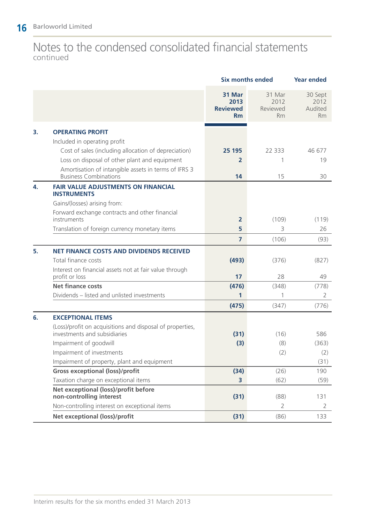### Notes to the condensed consolidated financial statements continued

|    |                                                                                       | <b>Six months ended</b>                 | <b>Year ended</b>                       |                                         |
|----|---------------------------------------------------------------------------------------|-----------------------------------------|-----------------------------------------|-----------------------------------------|
|    |                                                                                       | 31 Mar<br>2013<br><b>Reviewed</b><br>Rm | 31 Mar<br>2012<br>Reviewed<br><b>Rm</b> | 30 Sept<br>2012<br>Audited<br><b>Rm</b> |
| 3. | <b>OPERATING PROFIT</b>                                                               |                                         |                                         |                                         |
|    | Included in operating profit                                                          |                                         |                                         |                                         |
|    | Cost of sales (including allocation of depreciation)                                  | 25 195                                  | 22 3 3 3                                | 46 677                                  |
|    | Loss on disposal of other plant and equipment                                         | 2                                       | 1                                       | 19                                      |
|    | Amortisation of intangible assets in terms of IFRS 3<br><b>Business Combinations</b>  | 14                                      | 15                                      | 30                                      |
| 4. | <b>FAIR VALUE ADJUSTMENTS ON FINANCIAL</b>                                            |                                         |                                         |                                         |
|    | <b>INSTRUMENTS</b><br>Gains/(losses) arising from:                                    |                                         |                                         |                                         |
|    | Forward exchange contracts and other financial                                        |                                         |                                         |                                         |
|    | instruments                                                                           | $\overline{2}$                          | (109)                                   | (119)                                   |
|    | Translation of foreign currency monetary items                                        | 5                                       | 3                                       | 26                                      |
|    |                                                                                       | $\overline{7}$                          | (106)                                   | (93)                                    |
| 5. | <b>NET FINANCE COSTS AND DIVIDENDS RECEIVED</b>                                       |                                         |                                         |                                         |
|    | Total finance costs                                                                   | (493)                                   | (376)                                   | (827)                                   |
|    | Interest on financial assets not at fair value through<br>profit or loss              | 17                                      | 28                                      | 49                                      |
|    | <b>Net finance costs</b>                                                              | (476)                                   | (348)                                   | (778)                                   |
|    | Dividends - listed and unlisted investments                                           | 1                                       | 1                                       | 2                                       |
|    |                                                                                       | (475)                                   | (347)                                   | (776)                                   |
| 6. | <b>EXCEPTIONAL ITEMS</b>                                                              |                                         |                                         |                                         |
|    | (Loss)/profit on acquisitions and disposal of properties,                             |                                         |                                         |                                         |
|    | investments and subsidiaries                                                          | (31)                                    | (16)                                    | 586                                     |
|    | Impairment of goodwill                                                                | (3)                                     | (8)                                     | (363)                                   |
|    | Impairment of investments                                                             |                                         | (2)                                     | (2)                                     |
|    | Impairment of property, plant and equipment<br><b>Gross exceptional (loss)/profit</b> |                                         |                                         | (31)                                    |
|    | Taxation charge on exceptional items                                                  | (34)                                    | (26)<br>(62)                            | 190                                     |
|    | Net exceptional (loss)/profit before                                                  | 3                                       |                                         | (59)                                    |
|    | non-controlling interest                                                              | (31)                                    | (88)                                    | 131                                     |
|    | Non-controlling interest on exceptional items                                         |                                         | $\overline{2}$                          | 2                                       |
|    | Net exceptional (loss)/profit                                                         | (31)                                    | (86)                                    | 133                                     |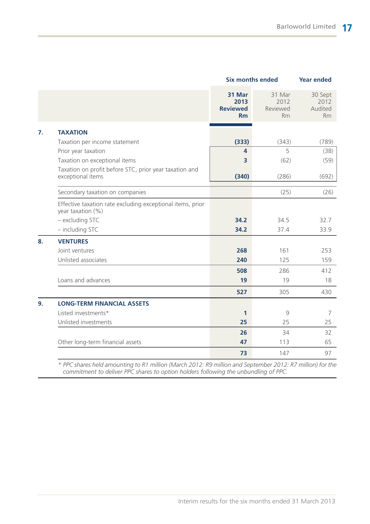|                  |                                                                                 | <b>Six months ended</b>                 | <b>Year ended</b>                       |                                         |
|------------------|---------------------------------------------------------------------------------|-----------------------------------------|-----------------------------------------|-----------------------------------------|
|                  |                                                                                 | 31 Mar<br>2013<br><b>Reviewed</b><br>Rm | 31 Mar<br>2012<br>Reviewed<br><b>Rm</b> | 30 Sept<br>2012<br>Audited<br><b>Rm</b> |
| $\overline{7}$ . | <b>TAXATION</b>                                                                 |                                         |                                         |                                         |
|                  | Taxation per income statement                                                   | (333)                                   | (343)                                   | (789)                                   |
|                  | Prior year taxation                                                             | $\overline{\mathbf{4}}$                 | 5                                       | (38)                                    |
|                  | Taxation on exceptional items                                                   | 3                                       | (62)                                    | (59)                                    |
|                  | Taxation on profit before STC, prior year taxation and<br>exceptional items     | (340)                                   | (286)                                   | (692)                                   |
|                  | Secondary taxation on companies                                                 |                                         | (25)                                    | (26)                                    |
|                  | Effective taxation rate excluding exceptional items, prior<br>year taxation (%) |                                         |                                         |                                         |
|                  | - excluding STC                                                                 | 34.2                                    | 34.5                                    | 32.7                                    |
|                  | - including STC                                                                 | 34.2                                    | 37.4                                    | 33.9                                    |
| 8.               | <b>VENTURES</b>                                                                 |                                         |                                         |                                         |
|                  | Joint ventures                                                                  | 268                                     | 161                                     | 253                                     |
|                  | Unlisted associates                                                             | 240                                     | 125                                     | 159                                     |
|                  |                                                                                 | 508                                     | 286                                     | 412                                     |
|                  | Loans and advances                                                              | 19                                      | 19                                      | 18                                      |
|                  |                                                                                 | 527                                     | 305                                     | 430                                     |
| 9.               | <b>LONG-TERM FINANCIAL ASSETS</b>                                               |                                         |                                         |                                         |
|                  | Listed investments*                                                             | $\mathbf{1}$                            | 9                                       | 7                                       |
|                  | Unlisted investments                                                            | 25                                      | 25                                      | 25                                      |
|                  |                                                                                 | 26                                      | 34                                      | 32                                      |
|                  | Other long-term financial assets                                                | 47                                      | 113                                     | 65                                      |
|                  |                                                                                 | 73                                      | 147                                     | 97                                      |

*\* PPC shares held amounting to R1 million (March 2012: R9 million and September 2012: R7 million) for the commitment to deliver PPC shares to option holders following the unbundling of PPC.*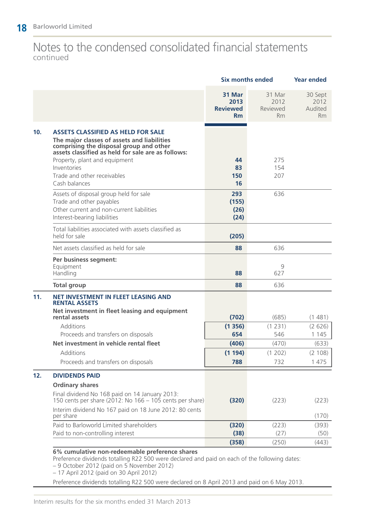### Notes to the condensed consolidated financial statements continued

|     |                                                                                                                                                                                                                                                                          | <b>Six months ended</b>                        |                                  | <b>Year ended</b>                       |
|-----|--------------------------------------------------------------------------------------------------------------------------------------------------------------------------------------------------------------------------------------------------------------------------|------------------------------------------------|----------------------------------|-----------------------------------------|
|     |                                                                                                                                                                                                                                                                          | 31 Mar<br>2013<br><b>Reviewed</b><br><b>Rm</b> | 31 Mar<br>2012<br>Reviewed<br>Rm | 30 Sept<br>2012<br>Audited<br><b>Rm</b> |
| 10. | <b>ASSETS CLASSIFIED AS HELD FOR SALE</b><br>The major classes of assets and liabilities<br>comprising the disposal group and other<br>assets classified as held for sale are as follows:<br>Property, plant and equipment<br>Inventories<br>Trade and other receivables | 44<br>83<br>150                                | 275<br>154<br>207                |                                         |
|     | Cash balances                                                                                                                                                                                                                                                            | 16                                             |                                  |                                         |
|     | Assets of disposal group held for sale<br>Trade and other payables<br>Other current and non-current liabilities<br>Interest-bearing liabilities                                                                                                                          | 293<br>(155)<br>(26)<br>(24)                   | 636                              |                                         |
|     | Total liabilities associated with assets classified as<br>held for sale                                                                                                                                                                                                  | (205)                                          |                                  |                                         |
|     | Net assets classified as held for sale                                                                                                                                                                                                                                   | 88                                             | 636                              |                                         |
|     | Per business segment:<br>Equipment<br>Handling                                                                                                                                                                                                                           | 88                                             | 9<br>627                         |                                         |
|     | <b>Total group</b>                                                                                                                                                                                                                                                       | 88                                             | 636                              |                                         |
| 11. | NET INVESTMENT IN FLEET LEASING AND<br><b>RENTAL ASSETS</b>                                                                                                                                                                                                              |                                                |                                  |                                         |
|     | Net investment in fleet leasing and equipment<br>rental assets                                                                                                                                                                                                           | (702)                                          | (685)                            | (1481)                                  |
|     | <b>Additions</b><br>Proceeds and transfers on disposals                                                                                                                                                                                                                  | (1356)<br>654                                  | (1 231)<br>546                   | (2626)<br>1 1 4 5                       |
|     | Net investment in vehicle rental fleet                                                                                                                                                                                                                                   | (406)                                          | (470)                            | (633)                                   |
|     | <b>Additions</b><br>Proceeds and transfers on disposals                                                                                                                                                                                                                  | (1194)<br>788                                  | (1 202)<br>732                   | (2 108)<br>1 475                        |
| 12. | <b>DIVIDENDS PAID</b>                                                                                                                                                                                                                                                    |                                                |                                  |                                         |
|     | <b>Ordinary shares</b>                                                                                                                                                                                                                                                   |                                                |                                  |                                         |
|     | Final dividend No 168 paid on 14 January 2013:<br>150 cents per share (2012: No 166 - 105 cents per share)                                                                                                                                                               | (320)                                          | (223)                            | (223)                                   |
|     | Interim dividend No 167 paid on 18 June 2012: 80 cents<br>per share                                                                                                                                                                                                      |                                                |                                  | (170)                                   |
|     | Paid to Barloworld Limited shareholders<br>Paid to non-controlling interest                                                                                                                                                                                              | (320)<br>(38)                                  | (223)<br>(27)                    | (393)<br>(50)                           |
|     |                                                                                                                                                                                                                                                                          | (358)                                          | (250)                            | (443)                                   |
|     | 6% cumulative non-redeemable preference shares                                                                                                                                                                                                                           |                                                |                                  |                                         |

Preference dividends totalling R22 500 were declared and paid on each of the following dates:

– 9 October 2012 (paid on 5 November 2012)

– 17 April 2012 (paid on 30 April 2012)

Preference dividends totalling R22 500 were declared on 8 April 2013 and paid on 6 May 2013.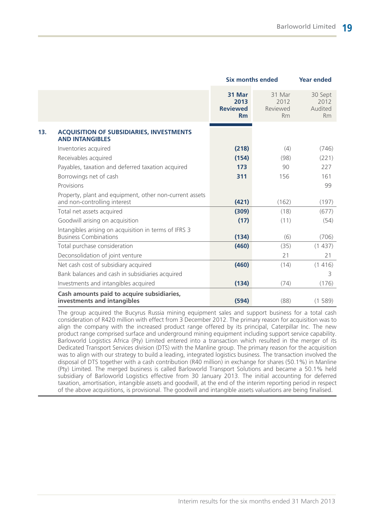|                                                                                         | <b>Six months ended</b>                 | <b>Year ended</b>                       |                                         |
|-----------------------------------------------------------------------------------------|-----------------------------------------|-----------------------------------------|-----------------------------------------|
|                                                                                         | 31 Mar<br>2013<br><b>Reviewed</b><br>Rm | 31 Mar<br>2012<br>Reviewed<br><b>Rm</b> | 30 Sept<br>2012<br>Audited<br><b>Rm</b> |
| <b>ACQUISITION OF SUBSIDIARIES, INVESTMENTS</b><br><b>AND INTANGIBLES</b>               |                                         |                                         |                                         |
| Inventories acquired                                                                    | (218)                                   | (4)                                     | (746)                                   |
| Receivables acquired                                                                    | (154)                                   | (98)                                    | (221)                                   |
| Payables, taxation and deferred taxation acquired                                       | 173                                     | 90                                      | 227                                     |
| Borrowings net of cash                                                                  | 311                                     | 156                                     | 161                                     |
| Provisions                                                                              |                                         |                                         | 99                                      |
| Property, plant and equipment, other non-current assets<br>and non-controlling interest | (421)                                   | (162)                                   | (197)                                   |
| Total net assets acquired                                                               | (309)                                   | (18)                                    | (677)                                   |
| Goodwill arising on acquisition                                                         | (17)                                    | (11)                                    | (54)                                    |
| Intangibles arising on acquisition in terms of IFRS 3<br><b>Business Combinations</b>   | (134)                                   | (6)                                     | (706)                                   |
| Total purchase consideration                                                            | (460)                                   | (35)                                    | (1437)                                  |
| Deconsolidation of joint venture                                                        |                                         | 21                                      | 21                                      |
| Net cash cost of subsidiary acquired                                                    | (460)                                   | (14)                                    | (1416)                                  |
| Bank balances and cash in subsidiaries acquired                                         |                                         |                                         | 3                                       |
| Investments and intangibles acquired                                                    | (134)                                   | (74)                                    | (176)                                   |
| Cash amounts paid to acquire subsidiaries,<br>investments and intangibles               | (594)                                   | (88)                                    | (1589)                                  |

The group acquired the Bucyrus Russia mining equipment sales and support business for a total cash consideration of R420 million with effect from 3 December 2012. The primary reason for acquisition was to align the company with the increased product range offered by its principal, Caterpillar Inc. The new product range comprised surface and underground mining equipment including support service capability. Barloworld Logistics Africa (Pty) Limited entered into a transaction which resulted in the merger of its Dedicated Transport Services division (DTS) with the Manline group. The primary reason for the acquisition was to align with our strategy to build a leading, integrated logistics business. The transaction involved the disposal of DTS together with a cash contribution (R40 million) in exchange for shares (50.1%) in Manline (Pty) Limited. The merged business is called Barloworld Transport Solutions and became a 50.1% held subsidiary of Barloworld Logistics effective from 30 January 2013. The initial accounting for deferred taxation, amortisation, intangible assets and goodwill, at the end of the interim reporting period in respect of the above acquisitions, is provisional. The goodwill and intangible assets valuations are being finalised.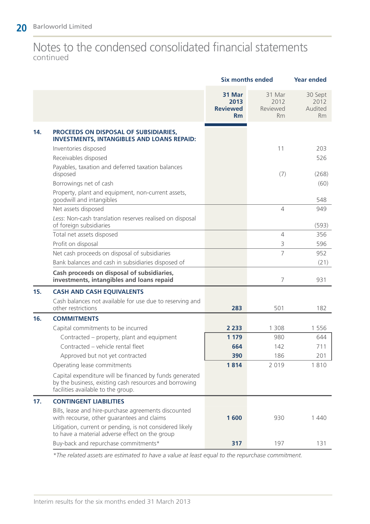### Notes to the condensed consolidated financial statements continued

| 31 Mar<br>31 Mar<br>30 Sept<br>2013<br>2012<br>2012<br><b>Reviewed</b><br>Audited<br>Reviewed<br>Rm<br><b>Rm</b><br><b>Rm</b><br>14.<br>PROCEEDS ON DISPOSAL OF SUBSIDIARIES,<br><b>INVESTMENTS, INTANGIBLES AND LOANS REPAID:</b><br>11<br>Inventories disposed<br>203<br>Receivables disposed<br>526<br>Payables, taxation and deferred taxation balances<br>disposed<br>(7)<br>(268)<br>Borrowings net of cash<br>(60)<br>Property, plant and equipment, non-current assets,<br>goodwill and intangibles<br>548<br>$\overline{4}$<br>Net assets disposed<br>949<br>Less: Non-cash translation reserves realised on disposal<br>of foreign subsidiaries<br>(593)<br>$\overline{4}$<br>Total net assets disposed<br>356<br>Profit on disposal<br>3<br>596<br>7<br>Net cash proceeds on disposal of subsidiaries<br>952<br>Bank balances and cash in subsidiaries disposed of<br>(21)<br>Cash proceeds on disposal of subsidiaries,<br>7<br>investments, intangibles and loans repaid<br>931<br>15.<br><b>CASH AND CASH EQUIVALENTS</b><br>Cash balances not available for use due to reserving and<br>other restrictions<br>182<br>283<br>501<br>16.<br><b>COMMITMENTS</b><br>2 2 3 3<br>1 3 0 8<br>Capital commitments to be incurred<br>1 5 5 6<br>Contracted – property, plant and equipment<br>1 1 7 9<br>980<br>644<br>Contracted - vehicle rental fleet<br>664<br>142<br>711<br>Approved but not yet contracted<br>390<br>186<br>201<br>1814<br>2 0 1 9<br>1810<br>Operating lease commitments<br>Capital expenditure will be financed by funds generated<br>by the business, existing cash resources and borrowing<br>facilities available to the group.<br>17.<br><b>CONTINGENT LIABILITIES</b><br>Bills, lease and hire-purchase agreements discounted<br>with recourse, other guarantees and claims<br>1600<br>930<br>1440<br>Litigation, current or pending, is not considered likely<br>to have a material adverse effect on the group<br>Buy-back and repurchase commitments*<br>317<br>197<br>131 |  | <b>Six months ended</b> | <b>Year ended</b> |  |
|------------------------------------------------------------------------------------------------------------------------------------------------------------------------------------------------------------------------------------------------------------------------------------------------------------------------------------------------------------------------------------------------------------------------------------------------------------------------------------------------------------------------------------------------------------------------------------------------------------------------------------------------------------------------------------------------------------------------------------------------------------------------------------------------------------------------------------------------------------------------------------------------------------------------------------------------------------------------------------------------------------------------------------------------------------------------------------------------------------------------------------------------------------------------------------------------------------------------------------------------------------------------------------------------------------------------------------------------------------------------------------------------------------------------------------------------------------------------------------------------------------------------------------------------------------------------------------------------------------------------------------------------------------------------------------------------------------------------------------------------------------------------------------------------------------------------------------------------------------------------------------------------------------------------------------------------------------------------------------------------------------------|--|-------------------------|-------------------|--|
|                                                                                                                                                                                                                                                                                                                                                                                                                                                                                                                                                                                                                                                                                                                                                                                                                                                                                                                                                                                                                                                                                                                                                                                                                                                                                                                                                                                                                                                                                                                                                                                                                                                                                                                                                                                                                                                                                                                                                                                                                  |  |                         |                   |  |
|                                                                                                                                                                                                                                                                                                                                                                                                                                                                                                                                                                                                                                                                                                                                                                                                                                                                                                                                                                                                                                                                                                                                                                                                                                                                                                                                                                                                                                                                                                                                                                                                                                                                                                                                                                                                                                                                                                                                                                                                                  |  |                         |                   |  |
|                                                                                                                                                                                                                                                                                                                                                                                                                                                                                                                                                                                                                                                                                                                                                                                                                                                                                                                                                                                                                                                                                                                                                                                                                                                                                                                                                                                                                                                                                                                                                                                                                                                                                                                                                                                                                                                                                                                                                                                                                  |  |                         |                   |  |
|                                                                                                                                                                                                                                                                                                                                                                                                                                                                                                                                                                                                                                                                                                                                                                                                                                                                                                                                                                                                                                                                                                                                                                                                                                                                                                                                                                                                                                                                                                                                                                                                                                                                                                                                                                                                                                                                                                                                                                                                                  |  |                         |                   |  |
|                                                                                                                                                                                                                                                                                                                                                                                                                                                                                                                                                                                                                                                                                                                                                                                                                                                                                                                                                                                                                                                                                                                                                                                                                                                                                                                                                                                                                                                                                                                                                                                                                                                                                                                                                                                                                                                                                                                                                                                                                  |  |                         |                   |  |
|                                                                                                                                                                                                                                                                                                                                                                                                                                                                                                                                                                                                                                                                                                                                                                                                                                                                                                                                                                                                                                                                                                                                                                                                                                                                                                                                                                                                                                                                                                                                                                                                                                                                                                                                                                                                                                                                                                                                                                                                                  |  |                         |                   |  |
|                                                                                                                                                                                                                                                                                                                                                                                                                                                                                                                                                                                                                                                                                                                                                                                                                                                                                                                                                                                                                                                                                                                                                                                                                                                                                                                                                                                                                                                                                                                                                                                                                                                                                                                                                                                                                                                                                                                                                                                                                  |  |                         |                   |  |
|                                                                                                                                                                                                                                                                                                                                                                                                                                                                                                                                                                                                                                                                                                                                                                                                                                                                                                                                                                                                                                                                                                                                                                                                                                                                                                                                                                                                                                                                                                                                                                                                                                                                                                                                                                                                                                                                                                                                                                                                                  |  |                         |                   |  |
|                                                                                                                                                                                                                                                                                                                                                                                                                                                                                                                                                                                                                                                                                                                                                                                                                                                                                                                                                                                                                                                                                                                                                                                                                                                                                                                                                                                                                                                                                                                                                                                                                                                                                                                                                                                                                                                                                                                                                                                                                  |  |                         |                   |  |
|                                                                                                                                                                                                                                                                                                                                                                                                                                                                                                                                                                                                                                                                                                                                                                                                                                                                                                                                                                                                                                                                                                                                                                                                                                                                                                                                                                                                                                                                                                                                                                                                                                                                                                                                                                                                                                                                                                                                                                                                                  |  |                         |                   |  |
|                                                                                                                                                                                                                                                                                                                                                                                                                                                                                                                                                                                                                                                                                                                                                                                                                                                                                                                                                                                                                                                                                                                                                                                                                                                                                                                                                                                                                                                                                                                                                                                                                                                                                                                                                                                                                                                                                                                                                                                                                  |  |                         |                   |  |
|                                                                                                                                                                                                                                                                                                                                                                                                                                                                                                                                                                                                                                                                                                                                                                                                                                                                                                                                                                                                                                                                                                                                                                                                                                                                                                                                                                                                                                                                                                                                                                                                                                                                                                                                                                                                                                                                                                                                                                                                                  |  |                         |                   |  |
|                                                                                                                                                                                                                                                                                                                                                                                                                                                                                                                                                                                                                                                                                                                                                                                                                                                                                                                                                                                                                                                                                                                                                                                                                                                                                                                                                                                                                                                                                                                                                                                                                                                                                                                                                                                                                                                                                                                                                                                                                  |  |                         |                   |  |
|                                                                                                                                                                                                                                                                                                                                                                                                                                                                                                                                                                                                                                                                                                                                                                                                                                                                                                                                                                                                                                                                                                                                                                                                                                                                                                                                                                                                                                                                                                                                                                                                                                                                                                                                                                                                                                                                                                                                                                                                                  |  |                         |                   |  |
|                                                                                                                                                                                                                                                                                                                                                                                                                                                                                                                                                                                                                                                                                                                                                                                                                                                                                                                                                                                                                                                                                                                                                                                                                                                                                                                                                                                                                                                                                                                                                                                                                                                                                                                                                                                                                                                                                                                                                                                                                  |  |                         |                   |  |
|                                                                                                                                                                                                                                                                                                                                                                                                                                                                                                                                                                                                                                                                                                                                                                                                                                                                                                                                                                                                                                                                                                                                                                                                                                                                                                                                                                                                                                                                                                                                                                                                                                                                                                                                                                                                                                                                                                                                                                                                                  |  |                         |                   |  |
|                                                                                                                                                                                                                                                                                                                                                                                                                                                                                                                                                                                                                                                                                                                                                                                                                                                                                                                                                                                                                                                                                                                                                                                                                                                                                                                                                                                                                                                                                                                                                                                                                                                                                                                                                                                                                                                                                                                                                                                                                  |  |                         |                   |  |
|                                                                                                                                                                                                                                                                                                                                                                                                                                                                                                                                                                                                                                                                                                                                                                                                                                                                                                                                                                                                                                                                                                                                                                                                                                                                                                                                                                                                                                                                                                                                                                                                                                                                                                                                                                                                                                                                                                                                                                                                                  |  |                         |                   |  |
|                                                                                                                                                                                                                                                                                                                                                                                                                                                                                                                                                                                                                                                                                                                                                                                                                                                                                                                                                                                                                                                                                                                                                                                                                                                                                                                                                                                                                                                                                                                                                                                                                                                                                                                                                                                                                                                                                                                                                                                                                  |  |                         |                   |  |
|                                                                                                                                                                                                                                                                                                                                                                                                                                                                                                                                                                                                                                                                                                                                                                                                                                                                                                                                                                                                                                                                                                                                                                                                                                                                                                                                                                                                                                                                                                                                                                                                                                                                                                                                                                                                                                                                                                                                                                                                                  |  |                         |                   |  |
|                                                                                                                                                                                                                                                                                                                                                                                                                                                                                                                                                                                                                                                                                                                                                                                                                                                                                                                                                                                                                                                                                                                                                                                                                                                                                                                                                                                                                                                                                                                                                                                                                                                                                                                                                                                                                                                                                                                                                                                                                  |  |                         |                   |  |
|                                                                                                                                                                                                                                                                                                                                                                                                                                                                                                                                                                                                                                                                                                                                                                                                                                                                                                                                                                                                                                                                                                                                                                                                                                                                                                                                                                                                                                                                                                                                                                                                                                                                                                                                                                                                                                                                                                                                                                                                                  |  |                         |                   |  |
|                                                                                                                                                                                                                                                                                                                                                                                                                                                                                                                                                                                                                                                                                                                                                                                                                                                                                                                                                                                                                                                                                                                                                                                                                                                                                                                                                                                                                                                                                                                                                                                                                                                                                                                                                                                                                                                                                                                                                                                                                  |  |                         |                   |  |
|                                                                                                                                                                                                                                                                                                                                                                                                                                                                                                                                                                                                                                                                                                                                                                                                                                                                                                                                                                                                                                                                                                                                                                                                                                                                                                                                                                                                                                                                                                                                                                                                                                                                                                                                                                                                                                                                                                                                                                                                                  |  |                         |                   |  |
|                                                                                                                                                                                                                                                                                                                                                                                                                                                                                                                                                                                                                                                                                                                                                                                                                                                                                                                                                                                                                                                                                                                                                                                                                                                                                                                                                                                                                                                                                                                                                                                                                                                                                                                                                                                                                                                                                                                                                                                                                  |  |                         |                   |  |
|                                                                                                                                                                                                                                                                                                                                                                                                                                                                                                                                                                                                                                                                                                                                                                                                                                                                                                                                                                                                                                                                                                                                                                                                                                                                                                                                                                                                                                                                                                                                                                                                                                                                                                                                                                                                                                                                                                                                                                                                                  |  |                         |                   |  |
|                                                                                                                                                                                                                                                                                                                                                                                                                                                                                                                                                                                                                                                                                                                                                                                                                                                                                                                                                                                                                                                                                                                                                                                                                                                                                                                                                                                                                                                                                                                                                                                                                                                                                                                                                                                                                                                                                                                                                                                                                  |  |                         |                   |  |

*\*The related assets are estimated to have a value at least equal to the repurchase commitment.*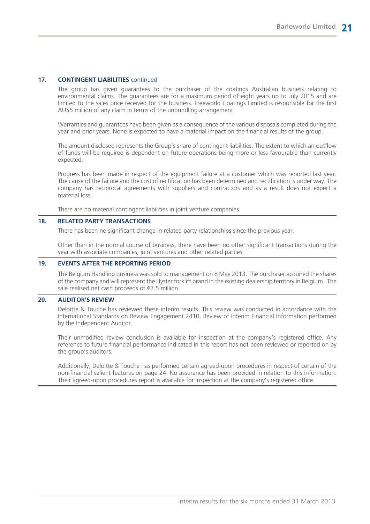#### **17. CONTINGENT LIABILITIES** continued

The group has given guarantees to the purchaser of the coatings Australian business relating to environmental claims. The guarantees are for a maximum period of eight years up to July 2015 and are limited to the sales price received for the business. Freeworld Coatings Limited is responsible for the first AU\$5 million of any claim in terms of the unbundling arrangement.

Warranties and guarantees have been given as a consequence of the various disposals completed during the year and prior years. None is expected to have a material impact on the financial results of the group.

The amount disclosed represents the Group's share of contingent liabilities. The extent to which an outflow of funds will be required is dependent on future operations being more or less favourable than currently expected.

Progress has been made in respect of the equipment failure at a customer which was reported last year. The cause of the failure and the cost of rectification has been determined and rectification is under way. The company has reciprocal agreements with suppliers and contractors and as a result does not expect a material loss.

There are no material contingent liabilities in joint venture companies.

#### **18. RELATED PARTY TRANSACTIONS**

There has been no significant change in related party relationships since the previous year.

Other than in the normal course of business, there have been no other significant transactions during the year with associate companies, joint ventures and other related parties.

#### **19. EVENTS AFTER THE REPORTING PERIOD**

The Belgium Handling business was sold to management on 8 May 2013. The purchaser acquired the shares of the company and will represent the Hyster forklift brand in the existing dealership territory in Belgium. The sale realised net cash proceeds of €7.5 million.

#### **20. AUDITOR'S REVIEW**

Deloitte & Touche has reviewed these interim results. This review was conducted in accordance with the International Standards on Review Engagement 2410, Review of Interim Financial Information performed by the Independent Auditor.

Their unmodified review conclusion is available for inspection at the company's registered office. Any reference to future financial performance indicated in this report has not been reviewed or reported on by the group's auditors.

Additionally, Deloitte & Touche has performed certain agreed-upon procedures in respect of certain of the non-financial salient features on page 24. No assurance has been provided in relation to this information. Their agreed-upon procedures report is available for inspection at the company's registered office.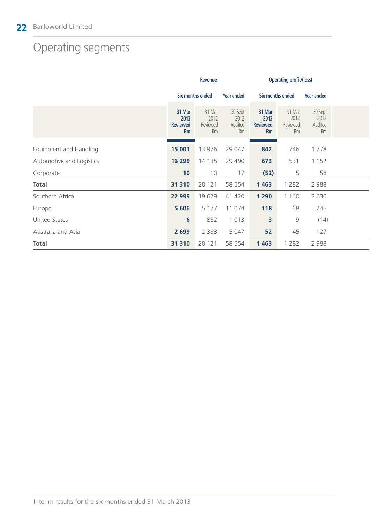# Operating segments

|                          | Revenue                                        |                                         |                                       | <b>Operating profit/(loss)</b>                 |                                  |                                  |  |
|--------------------------|------------------------------------------------|-----------------------------------------|---------------------------------------|------------------------------------------------|----------------------------------|----------------------------------|--|
|                          | <b>Six months ended</b>                        |                                         | Six months ended<br><b>Year ended</b> |                                                |                                  | <b>Year ended</b>                |  |
|                          | 31 Mar<br>2013<br><b>Reviewed</b><br><b>Rm</b> | 31 Mar<br>2012<br>Reviewed<br><b>Rm</b> | 30 Sept<br>2012<br>Audited<br>Rm      | 31 Mar<br>2013<br><b>Reviewed</b><br><b>Rm</b> | 31 Mar<br>2012<br>Reviewed<br>Rm | 30 Sept<br>2012<br>Audited<br>Rm |  |
| Equipment and Handling   | 15 001                                         | 13 976                                  | 29 047                                | 842                                            | 746                              | 1778                             |  |
| Automotive and Logistics | 16 299                                         | 14 135                                  | 29 4 9 0                              | 673                                            | 531                              | 1 1 5 2                          |  |
| Corporate                | 10                                             | 10                                      | 17                                    | (52)                                           | 5                                | 58                               |  |
| <b>Total</b>             | 31 310                                         | 28 121                                  | 58 554                                | 1 4 6 3                                        | 1 2 8 2                          | 2 9 8 8                          |  |
| Southern Africa          | 22 999                                         | 19 679                                  | 41 420                                | 1 2 9 0                                        | 1 160                            | 2 6 3 0                          |  |
| Europe                   | 5 6 0 6                                        | 5 1 7 7                                 | 11 074                                | 118                                            | 68                               | 245                              |  |
| <b>United States</b>     | $6\phantom{1}6$                                | 882                                     | 1 0 1 3                               | 3                                              | $\mathcal{G}$                    | (14)                             |  |
| Australia and Asia       | 2 6 9 9                                        | 2 3 8 3                                 | 5 0 4 7                               | 52                                             | 45                               | 127                              |  |
| <b>Total</b>             | 31 310                                         | 28 121                                  | 58 554                                | 1463                                           | 1 2 8 2                          | 2 9 8 8                          |  |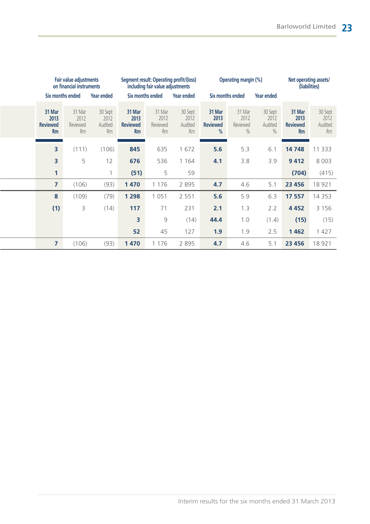| Fair value adjustments<br>on financial instruments |                                         |                                         | including fair value adjustments               | Segment result: Operating profit/(loss) | <b>Operating margin (%)</b>             |                                        | Net operating assets/<br>(liabilities) |                                             |                                         |                                         |
|----------------------------------------------------|-----------------------------------------|-----------------------------------------|------------------------------------------------|-----------------------------------------|-----------------------------------------|----------------------------------------|----------------------------------------|---------------------------------------------|-----------------------------------------|-----------------------------------------|
|                                                    | Six months ended                        | <b>Year ended</b>                       |                                                | Six months ended                        | Year ended                              |                                        | Six months ended<br>Year ended         |                                             |                                         |                                         |
| 31 Mar<br>2013<br><b>Reviewed</b><br>Rm            | 31 Mar<br>2012<br>Reviewed<br><b>Rm</b> | 30 Sept<br>2012<br>Audited<br><b>Rm</b> | 31 Mar<br>2013<br><b>Reviewed</b><br><b>Rm</b> | 31 Mar<br>2012<br>Reviewed<br><b>Rm</b> | 30 Sept<br>2012<br>Audited<br><b>Rm</b> | 31 Mar<br>2013<br><b>Reviewed</b><br>% | 31 Mar<br>2012<br>Reviewed<br>$\%$     | 30 Sept<br>2012<br>Audited<br>$\frac{0}{0}$ | 31 Mar<br>2013<br><b>Reviewed</b><br>Rm | 30 Sept<br>2012<br>Audited<br><b>Rm</b> |
| 3                                                  | (111)                                   | (106)                                   | 845                                            | 635                                     | 1 672                                   | 5.6                                    | 5.3                                    | 6.1                                         | 14 748                                  | 11 333                                  |
| 3                                                  | 5                                       | 12                                      | 676                                            | 536                                     | 1 1 6 4                                 | 4.1                                    | 3.8                                    | 3.9                                         | 9412                                    | 8 0 0 3                                 |
| 1                                                  |                                         | 1                                       | (51)                                           | 5                                       | 59                                      |                                        |                                        |                                             | (704)                                   | (415)                                   |
| 7                                                  | (106)                                   | (93)                                    | 1 4 7 0                                        | 1 1 7 6                                 | 2 8 9 5                                 | 4.7                                    | 4.6                                    | 5.1                                         | 23 4 56                                 | 18 921                                  |
| 8                                                  | (109)                                   | (79)                                    | 1 2 9 8                                        | 1 0 5 1                                 | 2 5 5 1                                 | 5.6                                    | 5.9                                    | 6.3                                         | 17 557                                  | 14 3 5 3                                |
| (1)                                                | 3                                       | (14)                                    | 117                                            | 71                                      | 231                                     | 2.1                                    | 1.3                                    | 2.2                                         | 4 4 5 2                                 | 3 1 5 6                                 |
|                                                    |                                         |                                         | 3                                              | $\mathcal{G}$                           | (14)                                    | 44.4                                   | 1.0                                    | (1.4)                                       | (15)                                    | (15)                                    |
|                                                    |                                         |                                         | 52                                             | 45                                      | 127                                     | 1.9                                    | 1.9                                    | 2.5                                         | 1462                                    | 1 4 2 7                                 |
| 7                                                  | (106)                                   | (93)                                    | 1470                                           | 1 1 7 6                                 | 2895                                    | 4.7                                    | 4.6                                    | 5.1                                         | 23 456                                  | 18 921                                  |